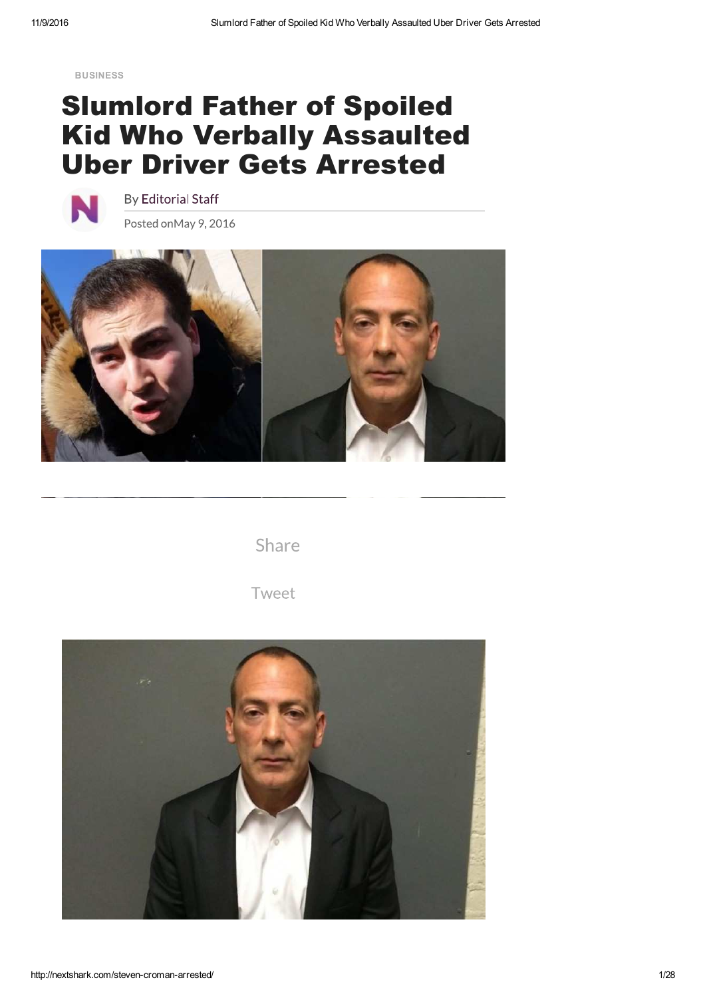**BUSINESS**

## Slumlord Father of Spoiled Kid Who Verbally Assaulted Uber Driver Gets Arrested



**By Editorial Staff** Posted onMay 9, 2016



Share

Tweet

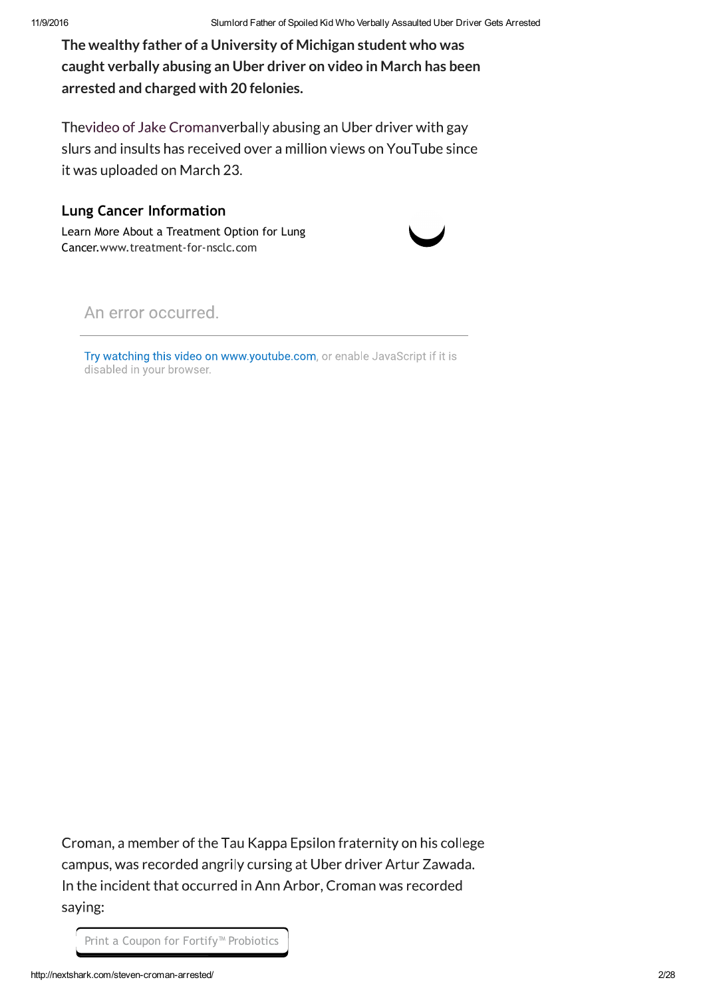**The wealthy father of a University of Michigan student who was caught verbally abusing an Uber driver on video in March has been arrested and charged with 20 felonies.**

Thevideo of Jake Cromanverbally abusing an Uber driver with gay slurs and insults has received over a million views on YouTube since it was uploaded on March 23.

## **Lung Cancer Information**

Learn More About a Treatment Option for Lung Cancer.www.treatment-for-nsclc.com



An error occurred.

Try watching this video on www.youtube.com, or enable JavaScript if it is disabled in your browser.

Croman, a member of the Tau Kappa Epsilon fraternity on his college campus, was recorded angrily cursing at Uber driver Artur Zawada. In the incident that occurred in Ann Arbor, Croman was recorded saying:

Print a Coupon for Fortify™ Probiotics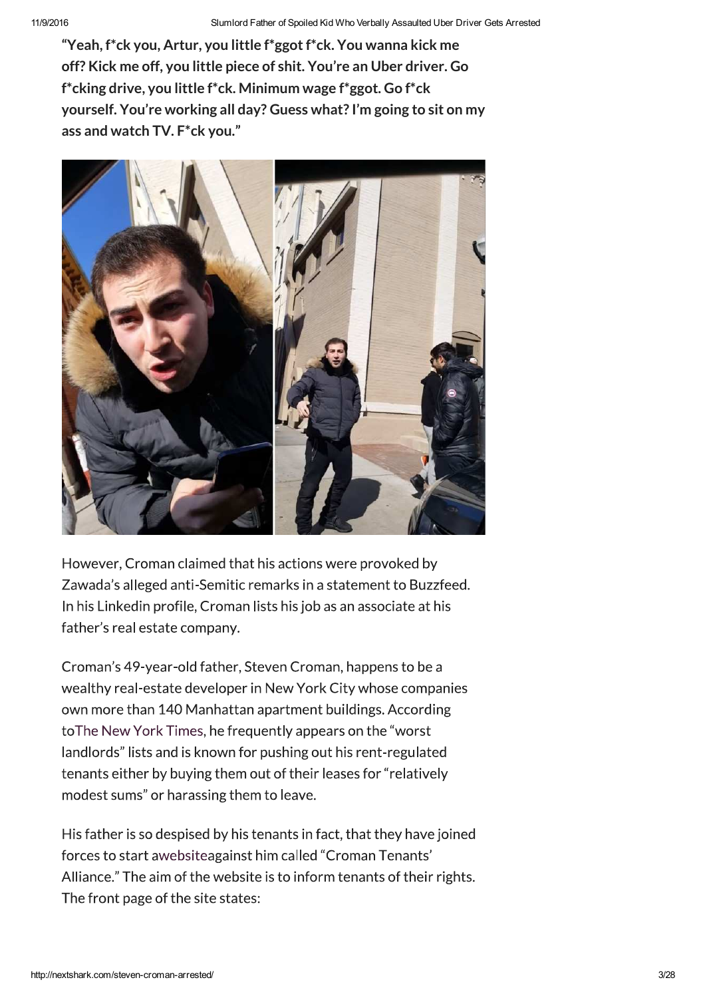**"Yeah, f\*ck you, Artur, you little f\*ggot f\*ck. You wanna kick me off? Kick me off, you little piece of shit. You're an Uber driver. Go f\*cking drive, you little f\*ck. Minimum wage f\*ggot. Go f\*ck yourself. You're working all day? Guess what? I'm going to sit on my ass and watch TV. F\*ck you."**



However, Croman claimed that his actions were provoked by Zawada's alleged anti-Semitic remarks in a statement to Buzzfeed. In his Linkedin profile, Croman lists his job as an associate at his father's real estate company.

Croman's 49-year-old father, Steven Croman, happens to be a wealthy real-estate developer in New York City whose companies own more than 140 Manhattan apartment buildings. According to The New York Times, he frequently appears on the "worst landlords" lists and is known for pushing out his rent-regulated tenants either by buying them out of their leases for "relatively modest sums" or harassing them to leave.

His father is so despised by his tenants in fact, that they have joined forces to start awebsiteagainst him called "Croman Tenants' Alliance." The aim of the website is to inform tenants of their rights. The front page of the site states: